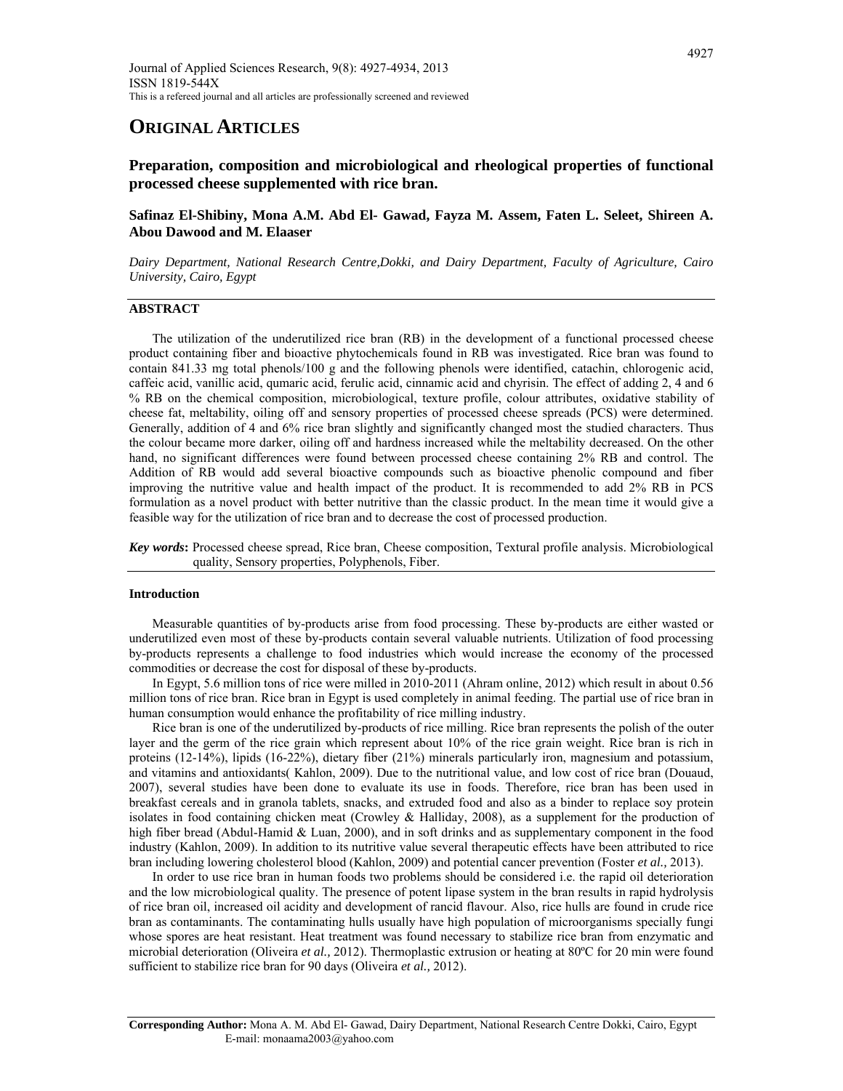# **ORIGINAL ARTICLES**

**Preparation, composition and microbiological and rheological properties of functional processed cheese supplemented with rice bran.** 

# **Safinaz El-Shibiny, Mona A.M. Abd El- Gawad, Fayza M. Assem, Faten L. Seleet, Shireen A. Abou Dawood and M. Elaaser**

*Dairy Department, National Research Centre,Dokki, and Dairy Department, Faculty of Agriculture, Cairo University, Cairo, Egypt*

## **ABSTRACT**

 The utilization of the underutilized rice bran (RB) in the development of a functional processed cheese product containing fiber and bioactive phytochemicals found in RB was investigated. Rice bran was found to contain 841.33 mg total phenols/100 g and the following phenols were identified, catachin, chlorogenic acid, caffeic acid, vanillic acid, qumaric acid, ferulic acid, cinnamic acid and chyrisin. The effect of adding 2, 4 and 6 % RB on the chemical composition, microbiological, texture profile, colour attributes, oxidative stability of cheese fat, meltability, oiling off and sensory properties of processed cheese spreads (PCS) were determined. Generally, addition of 4 and 6% rice bran slightly and significantly changed most the studied characters. Thus the colour became more darker, oiling off and hardness increased while the meltability decreased. On the other hand, no significant differences were found between processed cheese containing 2% RB and control. The Addition of RB would add several bioactive compounds such as bioactive phenolic compound and fiber improving the nutritive value and health impact of the product. It is recommended to add 2% RB in PCS formulation as a novel product with better nutritive than the classic product. In the mean time it would give a feasible way for the utilization of rice bran and to decrease the cost of processed production.

*Key words***:** Processed cheese spread, Rice bran, Cheese composition, Textural profile analysis. Microbiological quality, Sensory properties, Polyphenols, Fiber.

## **Introduction**

 Measurable quantities of by-products arise from food processing. These by-products are either wasted or underutilized even most of these by-products contain several valuable nutrients. Utilization of food processing by-products represents a challenge to food industries which would increase the economy of the processed commodities or decrease the cost for disposal of these by-products.

 In Egypt, 5.6 million tons of rice were milled in 2010-2011 (Ahram online, 2012) which result in about 0.56 million tons of rice bran. Rice bran in Egypt is used completely in animal feeding. The partial use of rice bran in human consumption would enhance the profitability of rice milling industry.

 Rice bran is one of the underutilized by-products of rice milling. Rice bran represents the polish of the outer layer and the germ of the rice grain which represent about 10% of the rice grain weight. Rice bran is rich in proteins (12-14%), lipids (16-22%), dietary fiber (21%) minerals particularly iron, magnesium and potassium, and vitamins and antioxidants( Kahlon, 2009). Due to the nutritional value, and low cost of rice bran (Douaud, 2007), several studies have been done to evaluate its use in foods. Therefore, rice bran has been used in breakfast cereals and in granola tablets, snacks, and extruded food and also as a binder to replace soy protein isolates in food containing chicken meat (Crowley & Halliday, 2008), as a supplement for the production of high fiber bread (Abdul-Hamid & Luan, 2000), and in soft drinks and as supplementary component in the food industry (Kahlon, 2009). In addition to its nutritive value several therapeutic effects have been attributed to rice bran including lowering cholesterol blood (Kahlon, 2009) and potential cancer prevention (Foster *et al.,* 2013).

 In order to use rice bran in human foods two problems should be considered i.e. the rapid oil deterioration and the low microbiological quality. The presence of potent lipase system in the bran results in rapid hydrolysis of rice bran oil, increased oil acidity and development of rancid flavour. Also, rice hulls are found in crude rice bran as contaminants. The contaminating hulls usually have high population of microorganisms specially fungi whose spores are heat resistant. Heat treatment was found necessary to stabilize rice bran from enzymatic and microbial deterioration (Oliveira *et al.,* 2012). Thermoplastic extrusion or heating at 80ºC for 20 min were found sufficient to stabilize rice bran for 90 days (Oliveira *et al.,* 2012).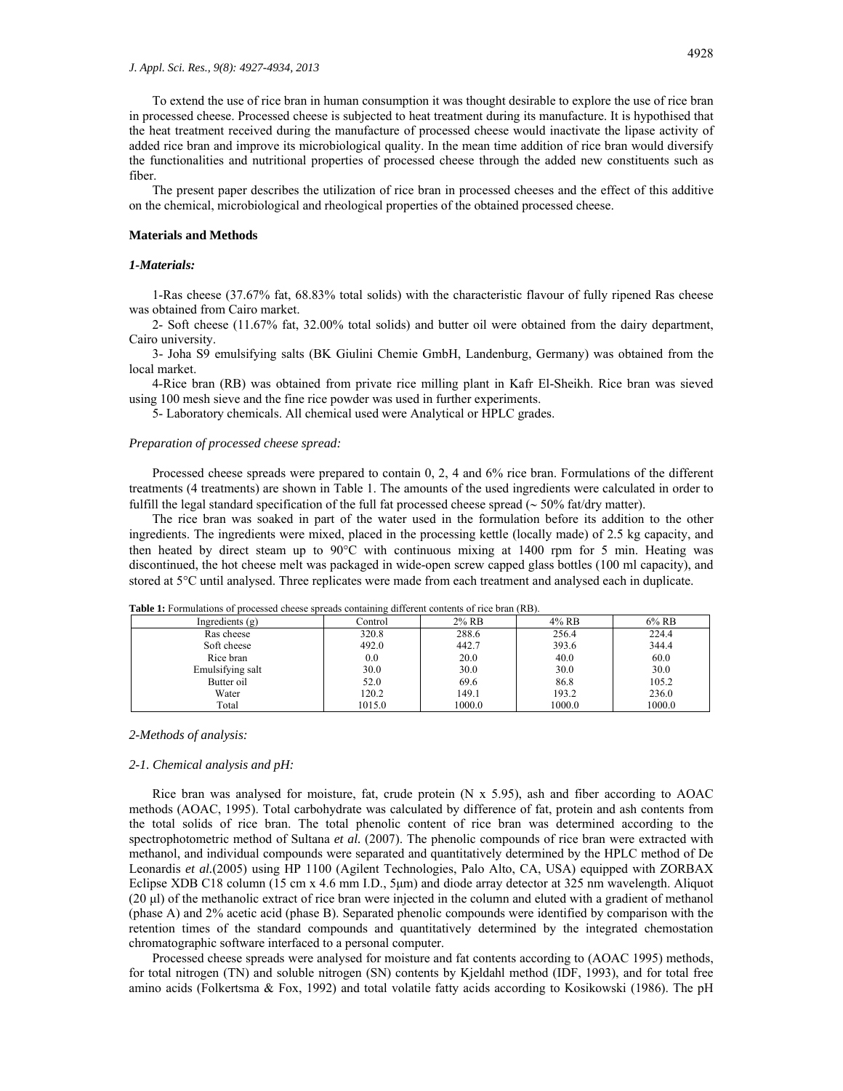To extend the use of rice bran in human consumption it was thought desirable to explore the use of rice bran in processed cheese. Processed cheese is subjected to heat treatment during its manufacture. It is hypothised that the heat treatment received during the manufacture of processed cheese would inactivate the lipase activity of added rice bran and improve its microbiological quality. In the mean time addition of rice bran would diversify the functionalities and nutritional properties of processed cheese through the added new constituents such as fiber.

 The present paper describes the utilization of rice bran in processed cheeses and the effect of this additive on the chemical, microbiological and rheological properties of the obtained processed cheese.

#### **Materials and Methods**

## *1-Materials:*

 1-Ras cheese (37.67% fat, 68.83% total solids) with the characteristic flavour of fully ripened Ras cheese was obtained from Cairo market.

 2- Soft cheese (11.67% fat, 32.00% total solids) and butter oil were obtained from the dairy department, Cairo university.

 3- Joha S9 emulsifying salts (BK Giulini Chemie GmbH, Landenburg, Germany) was obtained from the local market.

 4-Rice bran (RB) was obtained from private rice milling plant in Kafr El-Sheikh. Rice bran was sieved using 100 mesh sieve and the fine rice powder was used in further experiments.

5- Laboratory chemicals. All chemical used were Analytical or HPLC grades.

#### *Preparation of processed cheese spread:*

 Processed cheese spreads were prepared to contain 0, 2, 4 and 6% rice bran. Formulations of the different treatments (4 treatments) are shown in Table 1. The amounts of the used ingredients were calculated in order to fulfill the legal standard specification of the full fat processed cheese spread ( $\sim$  50% fat/dry matter).

 The rice bran was soaked in part of the water used in the formulation before its addition to the other ingredients. The ingredients were mixed, placed in the processing kettle (locally made) of 2.5 kg capacity, and then heated by direct steam up to  $90^{\circ}$ C with continuous mixing at 1400 rpm for 5 min. Heating was discontinued, the hot cheese melt was packaged in wide-open screw capped glass bottles (100 ml capacity), and stored at 5<sup>o</sup>C until analysed. Three replicates were made from each treatment and analysed each in duplicate.

| <b>Table 1.</b> Formulations of processed encese spreads containing different contents of fice brain (KD). |         |          |        |          |  |  |  |  |
|------------------------------------------------------------------------------------------------------------|---------|----------|--------|----------|--|--|--|--|
| Ingredients $(g)$                                                                                          | Control | $2\%$ RB | 4% RB  | $6\%$ RB |  |  |  |  |
| Ras cheese                                                                                                 | 320.8   | 288.6    | 256.4  | 224.4    |  |  |  |  |
| Soft cheese                                                                                                | 492.0   | 442.7    | 393.6  | 344.4    |  |  |  |  |
| Rice bran                                                                                                  | 0.0     | 20.0     | 40.0   | 60.0     |  |  |  |  |
| Emulsifying salt                                                                                           | 30.0    | 30.0     | 30.0   | 30.0     |  |  |  |  |
| Butter oil                                                                                                 | 52.0    | 69.6     | 86.8   | 105.2    |  |  |  |  |
| Water                                                                                                      | 120.2   | 149.1    | 193.2  | 236.0    |  |  |  |  |
| Total                                                                                                      | 1015.0  | 1000.0   | 1000.0 | 1000.0   |  |  |  |  |

**Table 1:** Formulations of processed cheese spreads containing different contents of rice bran (RB).

#### *2-Methods of analysis:*

#### *2-1. Chemical analysis and pH:*

 Rice bran was analysed for moisture, fat, crude protein (N x 5.95), ash and fiber according to AOAC methods (AOAC, 1995). Total carbohydrate was calculated by difference of fat, protein and ash contents from the total solids of rice bran. The total phenolic content of rice bran was determined according to the spectrophotometric method of Sultana *et al.* (2007). The phenolic compounds of rice bran were extracted with methanol, and individual compounds were separated and quantitatively determined by the HPLC method of De Leonardis *et al.*(2005) using HP 1100 (Agilent Technologies, Palo Alto, CA, USA) equipped with ZORBAX Eclipse XDB C18 column (15 cm x 4.6 mm I.D., 5μm) and diode array detector at 325 nm wavelength. Aliquot (20 μl) of the methanolic extract of rice bran were injected in the column and eluted with a gradient of methanol (phase A) and 2% acetic acid (phase B). Separated phenolic compounds were identified by comparison with the retention times of the standard compounds and quantitatively determined by the integrated chemostation chromatographic software interfaced to a personal computer.

 Processed cheese spreads were analysed for moisture and fat contents according to (AOAC 1995) methods, for total nitrogen (TN) and soluble nitrogen (SN) contents by Kjeldahl method (IDF, 1993), and for total free amino acids (Folkertsma & Fox, 1992) and total volatile fatty acids according to Kosikowski (1986). The pH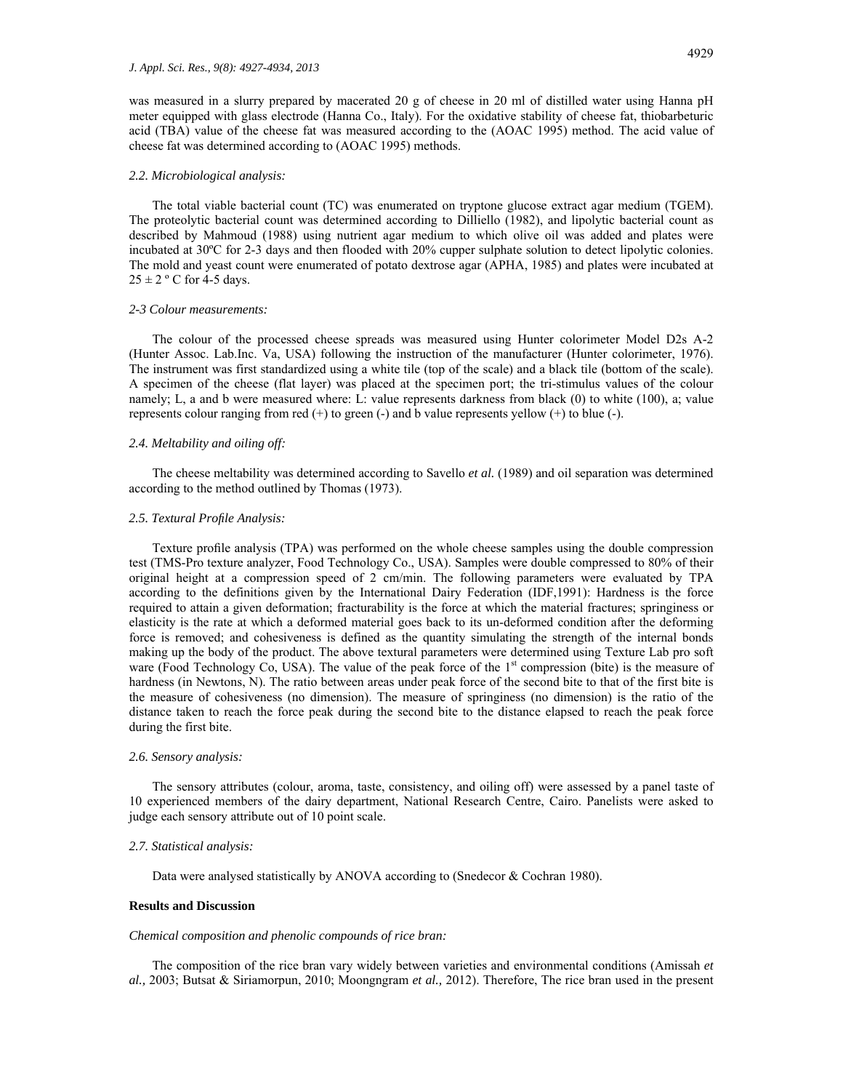was measured in a slurry prepared by macerated 20 g of cheese in 20 ml of distilled water using Hanna pH meter equipped with glass electrode (Hanna Co., Italy). For the oxidative stability of cheese fat, thiobarbeturic acid (TBA) value of the cheese fat was measured according to the (AOAC 1995) method. The acid value of cheese fat was determined according to (AOAC 1995) methods.

#### *2.2. Microbiological analysis:*

 The total viable bacterial count (TC) was enumerated on tryptone glucose extract agar medium (TGEM). The proteolytic bacterial count was determined according to Dilliello (1982), and lipolytic bacterial count as described by Mahmoud (1988) using nutrient agar medium to which olive oil was added and plates were incubated at 30ºC for 2-3 days and then flooded with 20% cupper sulphate solution to detect lipolytic colonies. The mold and yeast count were enumerated of potato dextrose agar (APHA, 1985) and plates were incubated at  $25 \pm 2$  ° C for 4-5 days.

#### *2-3 Colour measurements:*

 The colour of the processed cheese spreads was measured using Hunter colorimeter Model D2s A-2 (Hunter Assoc. Lab.Inc. Va, USA) following the instruction of the manufacturer (Hunter colorimeter, 1976). The instrument was first standardized using a white tile (top of the scale) and a black tile (bottom of the scale). A specimen of the cheese (flat layer) was placed at the specimen port; the tri-stimulus values of the colour namely; L, a and b were measured where: L: value represents darkness from black (0) to white (100), a; value represents colour ranging from red  $(+)$  to green  $(-)$  and b value represents yellow  $(+)$  to blue  $(-)$ .

#### *2.4. Meltability and oiling off:*

 The cheese meltability was determined according to Savello *et al.* (1989) and oil separation was determined according to the method outlined by Thomas (1973).

#### *2.5. Textural Profile Analysis:*

 Texture profile analysis (TPA) was performed on the whole cheese samples using the double compression test (TMS-Pro texture analyzer, Food Technology Co., USA). Samples were double compressed to 80% of their original height at a compression speed of 2 cm/min. The following parameters were evaluated by TPA according to the definitions given by the International Dairy Federation (IDF,1991): Hardness is the force required to attain a given deformation; fracturability is the force at which the material fractures; springiness or elasticity is the rate at which a deformed material goes back to its un-deformed condition after the deforming force is removed; and cohesiveness is defined as the quantity simulating the strength of the internal bonds making up the body of the product. The above textural parameters were determined using Texture Lab pro soft ware (Food Technology Co, USA). The value of the peak force of the  $1<sup>st</sup>$  compression (bite) is the measure of hardness (in Newtons, N). The ratio between areas under peak force of the second bite to that of the first bite is the measure of cohesiveness (no dimension). The measure of springiness (no dimension) is the ratio of the distance taken to reach the force peak during the second bite to the distance elapsed to reach the peak force during the first bite.

## *2.6. Sensory analysis:*

 The sensory attributes (colour, aroma, taste, consistency, and oiling off) were assessed by a panel taste of 10 experienced members of the dairy department, National Research Centre, Cairo. Panelists were asked to judge each sensory attribute out of 10 point scale.

#### *2.7. Statistical analysis:*

Data were analysed statistically by ANOVA according to (Snedecor & Cochran 1980).

## **Results and Discussion**

#### *Chemical composition and phenolic compounds of rice bran:*

 The composition of the rice bran vary widely between varieties and environmental conditions (Amissah *et al.,* 2003; Butsat & Siriamorpun, 2010; Moongngram *et al.,* 2012). Therefore, The rice bran used in the present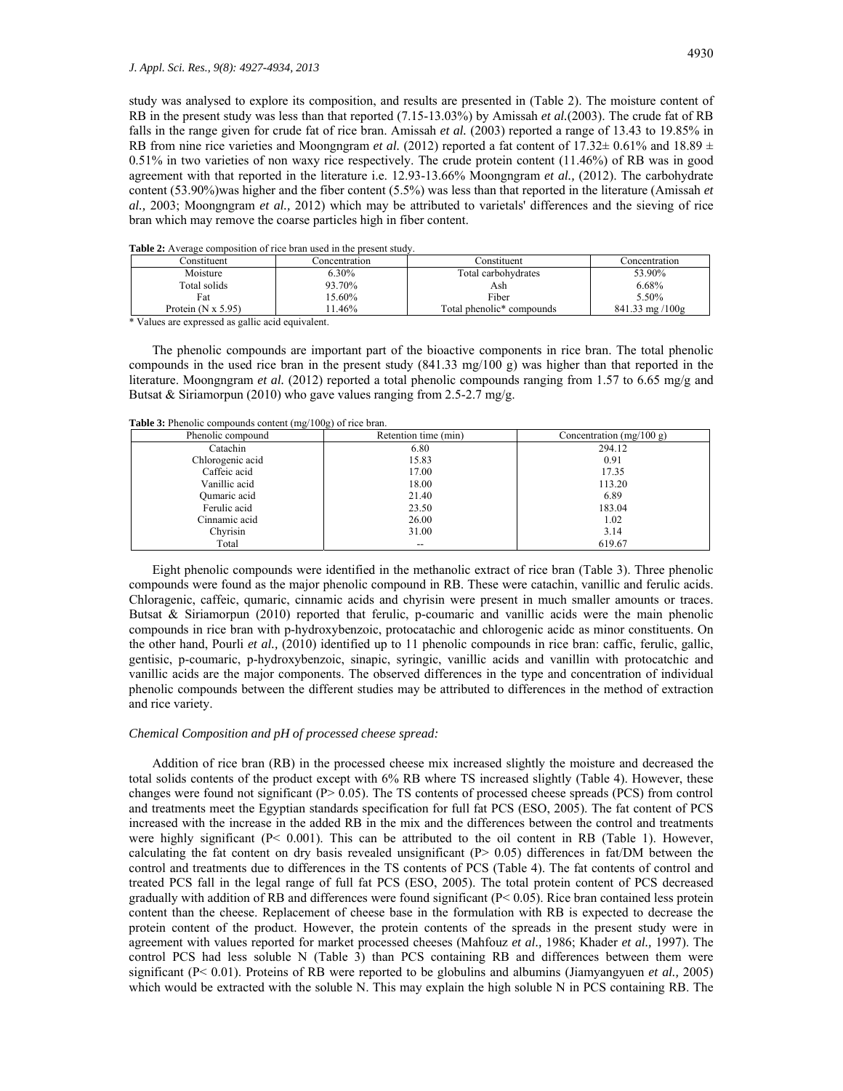study was analysed to explore its composition, and results are presented in (Table 2). The moisture content of RB in the present study was less than that reported (7.15-13.03%) by Amissah *et al.*(2003). The crude fat of RB falls in the range given for crude fat of rice bran. Amissah *et al.* (2003) reported a range of 13.43 to 19.85% in RB from nine rice varieties and Moongngram *et al.* (2012) reported a fat content of 17.32 $\pm$  0.61% and 18.89  $\pm$ 0.51% in two varieties of non waxy rice respectively. The crude protein content (11.46%) of RB was in good agreement with that reported in the literature i.e. 12.93-13.66% Moongngram *et al.,* (2012). The carbohydrate content (53.90%)was higher and the fiber content (5.5%) was less than that reported in the literature (Amissah *et al.,* 2003; Moongngram *et al.,* 2012) which may be attributed to varietals' differences and the sieving of rice bran which may remove the coarse particles high in fiber content.

| <b>Table 2:</b> Average composition of rice brain used in the present study. |               |                                       |                                    |  |  |  |  |
|------------------------------------------------------------------------------|---------------|---------------------------------------|------------------------------------|--|--|--|--|
| Constituent                                                                  | Concentration | Constituent                           | Concentration                      |  |  |  |  |
| Moisture                                                                     | 6.30%         | Total carbohydrates                   | 53.90%                             |  |  |  |  |
| Total solids                                                                 | 93.70%        | Ash                                   | 6.68%                              |  |  |  |  |
| Fat                                                                          | 15.60%        | Fiber                                 | 5.50%                              |  |  |  |  |
| Protein $(N \times 5.95)$                                                    | 1.46%         | Total phenolic <sup>*</sup> compounds | $841.33 \text{ mg} / 100 \text{g}$ |  |  |  |  |

**Table 2:** Average composition of rice bran used in the present study.

\* Values are expressed as gallic acid equivalent.

 The phenolic compounds are important part of the bioactive components in rice bran. The total phenolic compounds in the used rice bran in the present study (841.33 mg/100 g) was higher than that reported in the literature. Moongngram *et al.* (2012) reported a total phenolic compounds ranging from 1.57 to 6.65 mg/g and Butsat & Siriamorpun (2010) who gave values ranging from 2.5-2.7 mg/g.

| Phenolic compound | Retention time (min) | Concentration $(mg/100 g)$ |
|-------------------|----------------------|----------------------------|
| Catachin          | 6.80                 | 294.12                     |
| Chlorogenic acid  | 15.83                | 0.91                       |
| Caffeic acid      | 17.00                | 17.35                      |
| Vanillic acid     | 18.00                | 113.20                     |
| Qumaric acid      | 21.40                | 6.89                       |
| Ferulic acid      | 23.50                | 183.04                     |
| Cinnamic acid     | 26.00                | 1.02                       |
| Chyrisin          | 31.00                | 3.14                       |
| Total             | --                   | 619.67                     |

**Table 3:** Phenolic compounds content (mg/100g) of rice bran.

 Eight phenolic compounds were identified in the methanolic extract of rice bran (Table 3). Three phenolic compounds were found as the major phenolic compound in RB. These were catachin, vanillic and ferulic acids. Chloragenic, caffeic, qumaric, cinnamic acids and chyrisin were present in much smaller amounts or traces. Butsat & Siriamorpun (2010) reported that ferulic, p-coumaric and vanillic acids were the main phenolic compounds in rice bran with p-hydroxybenzoic, protocatachic and chlorogenic acidc as minor constituents. On the other hand, Pourli *et al.,* (2010) identified up to 11 phenolic compounds in rice bran: caffic, ferulic, gallic, gentisic, p-coumaric, p-hydroxybenzoic, sinapic, syringic, vanillic acids and vanillin with protocatchic and vanillic acids are the major components. The observed differences in the type and concentration of individual phenolic compounds between the different studies may be attributed to differences in the method of extraction and rice variety.

#### *Chemical Composition and pH of processed cheese spread:*

 Addition of rice bran (RB) in the processed cheese mix increased slightly the moisture and decreased the total solids contents of the product except with 6% RB where TS increased slightly (Table 4). However, these changes were found not significant ( $P > 0.05$ ). The TS contents of processed cheese spreads ( $PCS$ ) from control and treatments meet the Egyptian standards specification for full fat PCS (ESO, 2005). The fat content of PCS increased with the increase in the added RB in the mix and the differences between the control and treatments were highly significant (P< 0.001). This can be attributed to the oil content in RB (Table 1). However, calculating the fat content on dry basis revealed unsignificant  $(P> 0.05)$  differences in fat/DM between the control and treatments due to differences in the TS contents of PCS (Table 4). The fat contents of control and treated PCS fall in the legal range of full fat PCS (ESO, 2005). The total protein content of PCS decreased gradually with addition of RB and differences were found significant (P< 0.05). Rice bran contained less protein content than the cheese. Replacement of cheese base in the formulation with RB is expected to decrease the protein content of the product. However, the protein contents of the spreads in the present study were in agreement with values reported for market processed cheeses (Mahfouz *et al.,* 1986; Khader *et al.,* 1997). The control PCS had less soluble N (Table 3) than PCS containing RB and differences between them were significant (P< 0.01). Proteins of RB were reported to be globulins and albumins (Jiamyangyuen *et al.,* 2005) which would be extracted with the soluble N. This may explain the high soluble N in PCS containing RB. The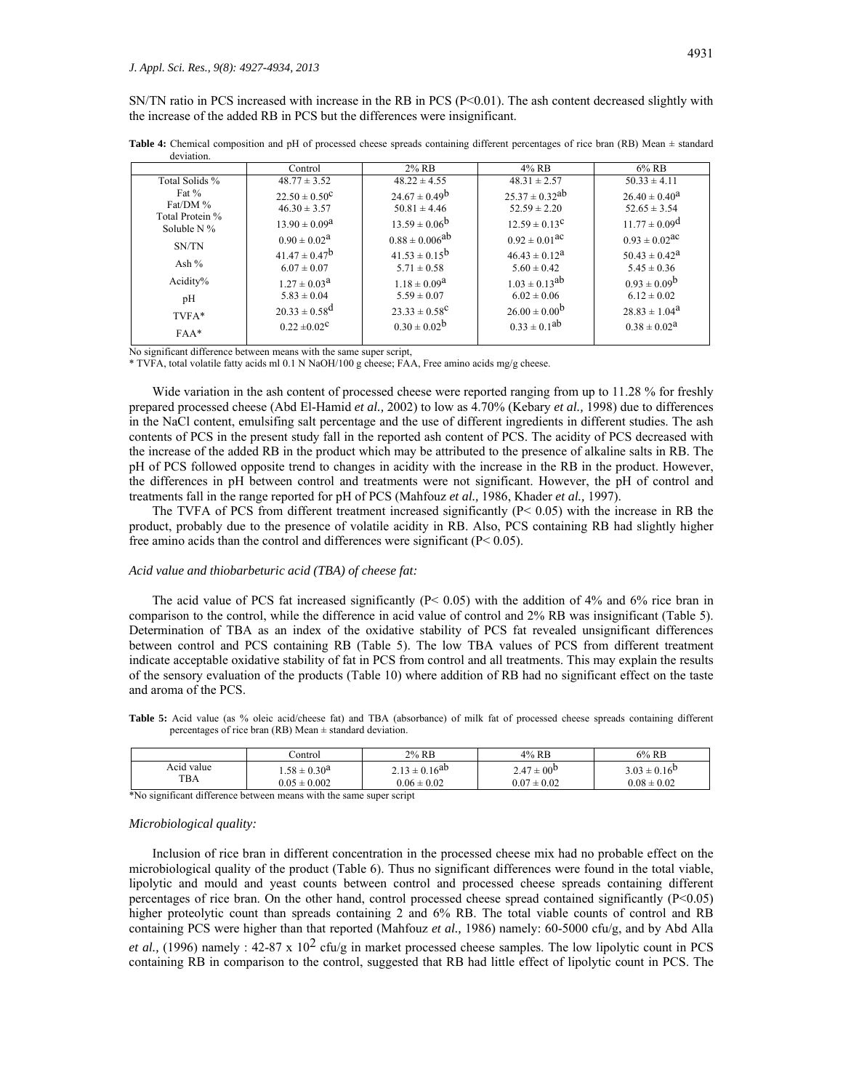SN/TN ratio in PCS increased with increase in the RB in PCS (P<0.01). The ash content decreased slightly with the increase of the added RB in PCS but the differences were insignificant.

|                                  | Control                       | $2\%$ RB                 | $4\%$ RB                      | $6\%$ RB                      |
|----------------------------------|-------------------------------|--------------------------|-------------------------------|-------------------------------|
| Total Solids %                   | $48.77 \pm 3.52$              | $48.22 \pm 4.55$         | $48.31 \pm 2.57$              | $50.33 \pm 4.11$              |
| Fat $%$                          | $22.50 \pm 0.50^{\circ}$      | $24.67 \pm 0.49^b$       | $25.37 \pm 0.32^{ab}$         | $26.40 \pm 0.40^{\circ}$      |
| Fat/DM %                         | $46.30 \pm 3.57$              | $50.81 \pm 4.46$         | $52.59 \pm 2.20$              | $52.65 \pm 3.54$              |
| Total Protein %<br>Soluble $N\%$ | $13.90 \pm 0.09^{\circ}$      | $13.59 \pm 0.06^{\rm b}$ | $12.59 \pm 0.13^{\circ}$      | $11.77 \pm 0.09^{\text{d}}$   |
| SN/TN                            | $0.90 \pm 0.02^{\text{a}}$    | $0.88 \pm 0.006^{ab}$    | $0.92 \pm 0.01$ <sup>ac</sup> | $0.93 \pm 0.02$ <sup>ac</sup> |
|                                  | $41.47 \pm 0.47^b$            | $41.53 \pm 0.15^{\rm b}$ | $46.43 \pm 0.12^a$            | $50.43 \pm 0.42^{\text{a}}$   |
| Ash $%$                          | $6.07 \pm 0.07$               | $5.71 \pm 0.58$          | $5.60 \pm 0.42$               | $5.45 \pm 0.36$               |
| Acidity%                         | $1.27 \pm 0.03^{\text{a}}$    | $1.18 \pm 0.09^{\rm a}$  | $1.03 \pm 0.13^{ab}$          | $0.93 \pm 0.09^b$             |
| pH                               | $5.83 \pm 0.04$               | $5.59 \pm 0.07$          | $6.02 \pm 0.06$               | $6.12 \pm 0.02$               |
| TVFA*                            | $20.33 \pm 0.58$ <sup>d</sup> | $23.33 \pm 0.58^{\circ}$ | $26.00 \pm 0.00^{\rm b}$      | $28.83 \pm 1.04^{\circ}$      |
| $FAA*$                           | $0.22 \pm 0.02^{\circ}$       | $0.30 \pm 0.02^b$        | $0.33 \pm 0.1^{ab}$           | $0.38 \pm 0.02^a$             |

**Table 4:** Chemical composition and pH of processed cheese spreads containing different percentages of rice bran (RB) Mean ± standard deviation.

No significant difference between means with the same super script,

\* TVFA, total volatile fatty acids ml 0.1 N NaOH/100 g cheese; FAA, Free amino acids mg/g cheese.

Wide variation in the ash content of processed cheese were reported ranging from up to 11.28 % for freshly prepared processed cheese (Abd El-Hamid *et al.,* 2002) to low as 4.70% (Kebary *et al.,* 1998) due to differences in the NaCl content, emulsifing salt percentage and the use of different ingredients in different studies. The ash contents of PCS in the present study fall in the reported ash content of PCS. The acidity of PCS decreased with the increase of the added RB in the product which may be attributed to the presence of alkaline salts in RB. The pH of PCS followed opposite trend to changes in acidity with the increase in the RB in the product. However, the differences in pH between control and treatments were not significant. However, the pH of control and treatments fall in the range reported for pH of PCS (Mahfouz *et al.,* 1986, Khader *et al.,* 1997).

The TVFA of PCS from different treatment increased significantly  $(P< 0.05)$  with the increase in RB the product, probably due to the presence of volatile acidity in RB. Also, PCS containing RB had slightly higher free amino acids than the control and differences were significant (P< 0.05).

#### *Acid value and thiobarbeturic acid (TBA) of cheese fat:*

The acid value of PCS fat increased significantly  $(P< 0.05)$  with the addition of 4% and 6% rice bran in comparison to the control, while the difference in acid value of control and 2% RB was insignificant (Table 5). Determination of TBA as an index of the oxidative stability of PCS fat revealed unsignificant differences between control and PCS containing RB (Table 5). The low TBA values of PCS from different treatment indicate acceptable oxidative stability of fat in PCS from control and all treatments. This may explain the results of the sensory evaluation of the products (Table 10) where addition of RB had no significant effect on the taste and aroma of the PCS.

Table 5: Acid value (as % oleic acid/cheese fat) and TBA (absorbance) of milk fat of processed cheese spreads containing different percentages of rice bran (RB) Mean  $\pm$  standard deviation.

|                          | ∴ontrol                                    | 2% RB                                             | 4% RB                                         | 6% RB                                      |
|--------------------------|--------------------------------------------|---------------------------------------------------|-----------------------------------------------|--------------------------------------------|
| Acıd value<br><b>TBA</b> | $.58 \pm 0.30^{\circ}$<br>$0.05 \pm 0.002$ | $t \pm 0.16^{ab}$<br>$\sim$ 12<br>$0.06 \pm 0.02$ | $t \pm 00^{\circ}$<br>2.47<br>$0.07 \pm 0.02$ | $3.03 \pm 0.16^{\circ}$<br>$0.08 \pm 0.02$ |

\*No significant difference between means with the same super script

#### *Microbiological quality:*

 Inclusion of rice bran in different concentration in the processed cheese mix had no probable effect on the microbiological quality of the product (Table 6). Thus no significant differences were found in the total viable, lipolytic and mould and yeast counts between control and processed cheese spreads containing different percentages of rice bran. On the other hand, control processed cheese spread contained significantly (P<0.05) higher proteolytic count than spreads containing 2 and 6% RB. The total viable counts of control and RB containing PCS were higher than that reported (Mahfouz *et al.,* 1986) namely: 60-5000 cfu/g, and by Abd Alla *et al.,* (1996) namely : 42-87 x  $10^2$  cfu/g in market processed cheese samples. The low lipolytic count in PCS containing RB in comparison to the control, suggested that RB had little effect of lipolytic count in PCS. The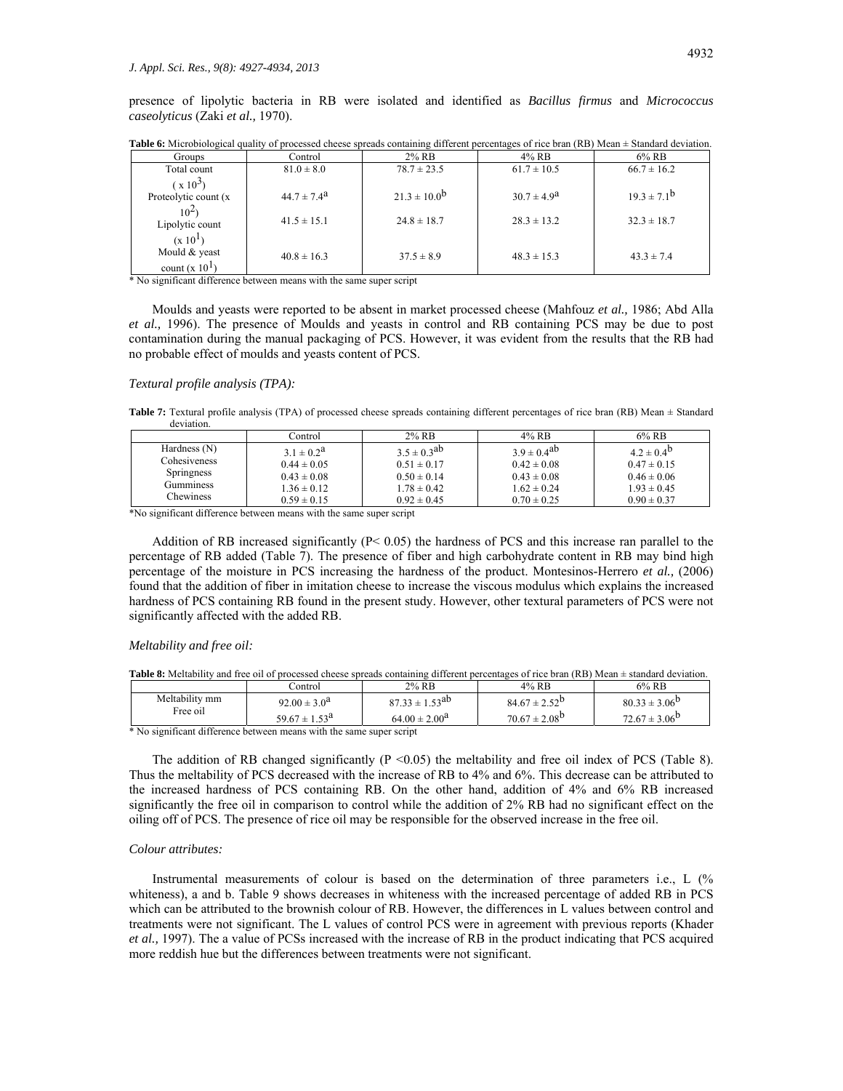presence of lipolytic bacteria in RB were isolated and identified as *Bacillus firmus* and *Micrococcus caseolyticus* (Zaki *et al.,* 1970).

| <b>Groups</b>                                            | Control                | 2% RB             | 4% RB                  | $6\%$ RB           |
|----------------------------------------------------------|------------------------|-------------------|------------------------|--------------------|
| Total count                                              | $81.0 \pm 8.0$         | $78.7 \pm 23.5$   | $61.7 \pm 10.5$        | $66.7 \pm 16.2$    |
| $(x 10^3)$                                               |                        |                   |                        |                    |
| Proteolytic count (x)                                    | $44.7 \pm 7.4^{\circ}$ | $21.3 \pm 10.0^b$ | $30.7 \pm 4.9^{\circ}$ | $19.3 \pm 7.1^{b}$ |
| $10^{2}$<br>Lipolytic count                              | $41.5 \pm 15.1$        | $24.8 \pm 18.7$   | $28.3 \pm 13.2$        | $32.3 \pm 18.7$    |
| (x 10 <sup>1</sup> )<br>Mould & yeast<br>count $(x 101)$ | $40.8 \pm 16.3$        | $37.5 \pm 8.9$    | $48.3 \pm 15.3$        | $43.3 \pm 7.4$     |

**Table 6:** Microbiological quality of processed cheese spreads containing different percentages of rice bran (RB) Mean  $\pm$  Standard deviation.

\* No significant difference between means with the same super script

 Moulds and yeasts were reported to be absent in market processed cheese (Mahfouz *et al.,* 1986; Abd Alla *et al.,* 1996). The presence of Moulds and yeasts in control and RB containing PCS may be due to post contamination during the manual packaging of PCS. However, it was evident from the results that the RB had no probable effect of moulds and yeasts content of PCS.

## *Textural profile analysis (TPA):*

Table 7: Textural profile analysis (TPA) of processed cheese spreads containing different percentages of rice bran (RB) Mean  $\pm$  Standard deviation.

|                   | ≘ontrol         | $2\%$ RB           | 4% RB              | $6\%$ RB          |
|-------------------|-----------------|--------------------|--------------------|-------------------|
| Hardness $(N)$    | $3.1 \pm 0.2^a$ | $3.5 \pm 0.3^{20}$ | $3.9 \pm 0.4^{ab}$ | $4.2 \pm 0.4^{b}$ |
| Cohesiveness      | $0.44 \pm 0.05$ | $0.51 \pm 0.17$    | $0.42 \pm 0.08$    | $0.47 \pm 0.15$   |
| <b>Springness</b> | $0.43 \pm 0.08$ | $0.50 \pm 0.14$    | $0.43 \pm 0.08$    | $0.46 \pm 0.06$   |
| Gumminess         | $1.36 \pm 0.12$ | $1.78 \pm 0.42$    | $1.62 \pm 0.24$    | $1.93 \pm 0.45$   |
| <b>Chewiness</b>  | $0.59 \pm 0.15$ | $0.92 \pm 0.45$    | $0.70 \pm 0.25$    | $0.90 \pm 0.37$   |

\*No significant difference between means with the same super script

Addition of RB increased significantly ( $P < 0.05$ ) the hardness of PCS and this increase ran parallel to the percentage of RB added (Table 7). The presence of fiber and high carbohydrate content in RB may bind high percentage of the moisture in PCS increasing the hardness of the product. Montesinos-Herrero *et al.,* (2006) found that the addition of fiber in imitation cheese to increase the viscous modulus which explains the increased hardness of PCS containing RB found in the present study. However, other textural parameters of PCS were not significantly affected with the added RB.

#### *Meltability and free oil:*

|  |  |  |  |  |  |  |  | <b>Table 8:</b> Meltability and free oil of processed cheese spreads containing different percentages of rice bran (RB) Mean $\pm$ standard deviation. |
|--|--|--|--|--|--|--|--|--------------------------------------------------------------------------------------------------------------------------------------------------------|
|--|--|--|--|--|--|--|--|--------------------------------------------------------------------------------------------------------------------------------------------------------|

|                                            | .`ontrol                    | 2% RB                      | 4% RB                    | $6\%$ RB                 |
|--------------------------------------------|-----------------------------|----------------------------|--------------------------|--------------------------|
| Meltability mm                             | $92.00 \pm 3.0^{\circ}$     | $1.53^{ab}$<br>$87.33 \pm$ | $84.67 \pm 2.52^{\circ}$ | $80.33 \pm 3.06^{\circ}$ |
| Free oil                                   | $59.67 \pm 1.53^{\text{a}}$ | $64.00 \pm 2.00^{\circ}$   | $70.67 \pm 2.08^{b}$     | $72.67 \pm 3.06^{\circ}$ |
| $\cdot$ $\sim$<br>$A = 3.7$<br>$\sim 1200$ | 2012/01/12                  |                            |                          |                          |

\* No significant difference between means with the same super script

The addition of RB changed significantly  $(P \le 0.05)$  the meltability and free oil index of PCS (Table 8). Thus the meltability of PCS decreased with the increase of RB to 4% and 6%. This decrease can be attributed to the increased hardness of PCS containing RB. On the other hand, addition of 4% and 6% RB increased significantly the free oil in comparison to control while the addition of 2% RB had no significant effect on the oiling off of PCS. The presence of rice oil may be responsible for the observed increase in the free oil.

## *Colour attributes:*

 Instrumental measurements of colour is based on the determination of three parameters i.e., L (% whiteness), a and b. Table 9 shows decreases in whiteness with the increased percentage of added RB in PCS which can be attributed to the brownish colour of RB. However, the differences in L values between control and treatments were not significant. The L values of control PCS were in agreement with previous reports (Khader *et al.,* 1997). The a value of PCSs increased with the increase of RB in the product indicating that PCS acquired more reddish hue but the differences between treatments were not significant.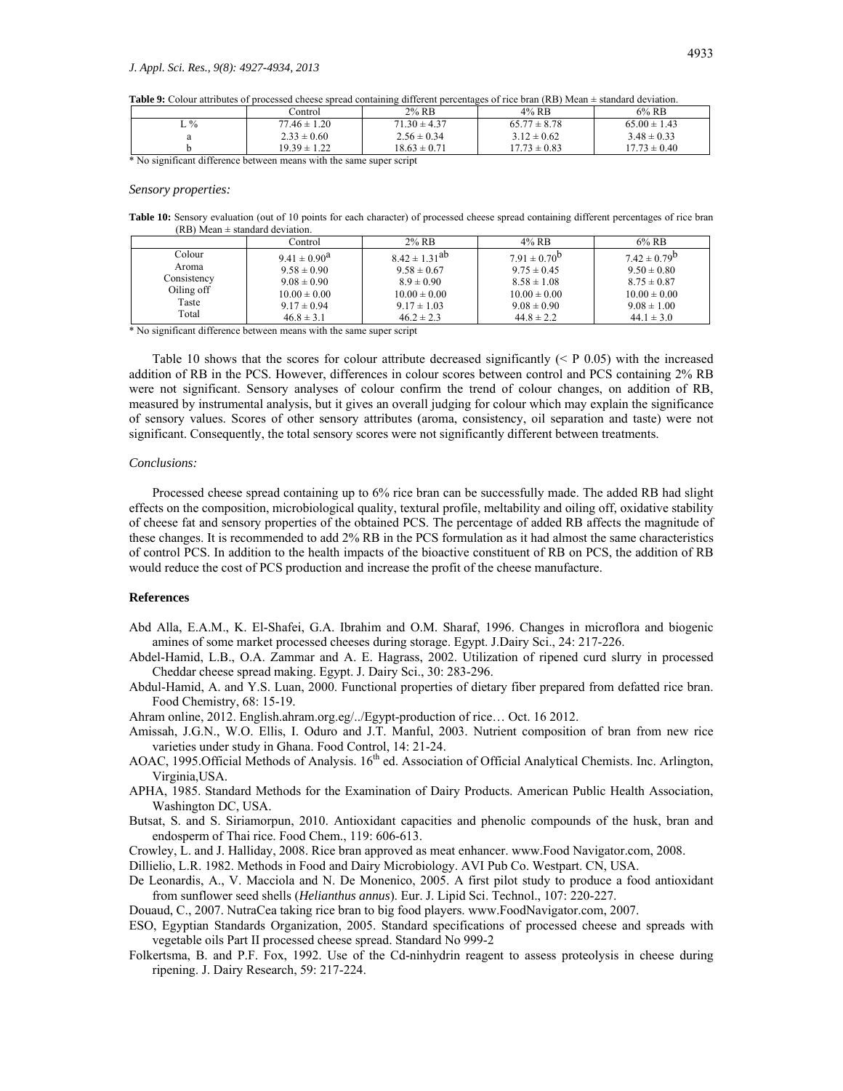**Table 9:** Colour attributes of processed cheese spread containing different percentages of rice bran (RB) Mean ± standard deviation.

|                                      | Control          | $2\%$ RB         | 4% RB            | 6% RB            |
|--------------------------------------|------------------|------------------|------------------|------------------|
| ⊷%                                   | $77.46 \pm 1.20$ | $71.30 \pm 4.37$ | $65.77 \pm 8.78$ | $65.00 \pm 1.43$ |
|                                      | $2.33 \pm 0.60$  | $2.56 \pm 0.34$  | $3.12 \pm 0.62$  | $3.48 \pm 0.33$  |
|                                      | $19.39 \pm 1.22$ | $18.63 \pm 0.71$ | $17.73 \pm 0.83$ | $17.73 \pm 0.40$ |
| $\sim$ $\sim$<br>$\sim$ $ -$<br>---- | .                |                  |                  |                  |

\* No significant difference between means with the same super script

#### *Sensory properties:*

Table 10: Sensory evaluation (out of 10 points for each character) of processed cheese spread containing different percentages of rice bran (RB) Mean  $\pm$  standard deviation.

|             | Control           | $2\%$ RB             | 4% RB               | $6\%$ RB                |
|-------------|-------------------|----------------------|---------------------|-------------------------|
| Colour      | $9.41 \pm 0.90^a$ | $8.42 \pm 1.31^{ab}$ | $7.91 \pm 0.70^{b}$ | $7.42 \pm 0.79^{\rm b}$ |
| Aroma       | $9.58 \pm 0.90$   | $9.58 \pm 0.67$      | $9.75 \pm 0.45$     | $9.50 \pm 0.80$         |
| Consistency | $9.08 \pm 0.90$   | $8.9 \pm 0.90$       | $8.58 \pm 1.08$     | $8.75 \pm 0.87$         |
| Oiling off  | $10.00 \pm 0.00$  | $10.00 \pm 0.00$     | $10.00 \pm 0.00$    | $10.00 \pm 0.00$        |
| Taste       | $9.17 \pm 0.94$   | $9.17 \pm 1.03$      | $9.08 \pm 0.90$     | $9.08 \pm 1.00$         |
| Total       | $46.8 \pm 3.1$    | $46.2 \pm 2.3$       | $44.8 \pm 2.2$      | $44.1 \pm 3.0$          |

\* No significant difference between means with the same super script

Table 10 shows that the scores for colour attribute decreased significantly  $($   $\leq$  P 0.05) with the increased addition of RB in the PCS. However, differences in colour scores between control and PCS containing 2% RB were not significant. Sensory analyses of colour confirm the trend of colour changes, on addition of RB, measured by instrumental analysis, but it gives an overall judging for colour which may explain the significance of sensory values. Scores of other sensory attributes (aroma, consistency, oil separation and taste) were not significant. Consequently, the total sensory scores were not significantly different between treatments.

#### *Conclusions:*

 Processed cheese spread containing up to 6% rice bran can be successfully made. The added RB had slight effects on the composition, microbiological quality, textural profile, meltability and oiling off, oxidative stability of cheese fat and sensory properties of the obtained PCS. The percentage of added RB affects the magnitude of these changes. It is recommended to add 2% RB in the PCS formulation as it had almost the same characteristics of control PCS. In addition to the health impacts of the bioactive constituent of RB on PCS, the addition of RB would reduce the cost of PCS production and increase the profit of the cheese manufacture.

## **References**

- Abd Alla, E.A.M., K. El-Shafei, G.A. Ibrahim and O.M. Sharaf, 1996. Changes in microflora and biogenic amines of some market processed cheeses during storage. Egypt. J.Dairy Sci., 24: 217-226.
- Abdel-Hamid, L.B., O.A. Zammar and A. E. Hagrass, 2002. Utilization of ripened curd slurry in processed Cheddar cheese spread making. Egypt. J. Dairy Sci., 30: 283-296.
- Abdul-Hamid, A. and Y.S. Luan, 2000. Functional properties of dietary fiber prepared from defatted rice bran. Food Chemistry, 68: 15-19.
- Ahram online, 2012. English.ahram.org.eg/../Egypt-production of rice… Oct. 16 2012.
- Amissah, J.G.N., W.O. Ellis, I. Oduro and J.T. Manful, 2003. Nutrient composition of bran from new rice varieties under study in Ghana. Food Control, 14: 21-24.
- AOAC, 1995.Official Methods of Analysis. 16<sup>th</sup> ed. Association of Official Analytical Chemists. Inc. Arlington, Virginia,USA.
- APHA, 1985. Standard Methods for the Examination of Dairy Products. American Public Health Association, Washington DC, USA.
- Butsat, S. and S. Siriamorpun, 2010. Antioxidant capacities and phenolic compounds of the husk, bran and endosperm of Thai rice. Food Chem., 119: 606-613.
- Crowley, L. and J. Halliday, 2008. Rice bran approved as meat enhancer. www.Food Navigator.com, 2008.

Dillielio, L.R. 1982. Methods in Food and Dairy Microbiology. AVI Pub Co. Westpart. CN, USA.

- De Leonardis, A., V. Macciola and N. De Monenico, 2005. A first pilot study to produce a food antioxidant from sunflower seed shells (*Helianthus annus*). Eur. J. Lipid Sci. Technol., 107: 220-227.
- Douaud, C., 2007. NutraCea taking rice bran to big food players. www.FoodNavigator.com, 2007.
- ESO, Egyptian Standards Organization, 2005. Standard specifications of processed cheese and spreads with vegetable oils Part II processed cheese spread. Standard No 999-2
- Folkertsma, B. and P.F. Fox, 1992. Use of the Cd-ninhydrin reagent to assess proteolysis in cheese during ripening. J. Dairy Research, 59: 217-224.